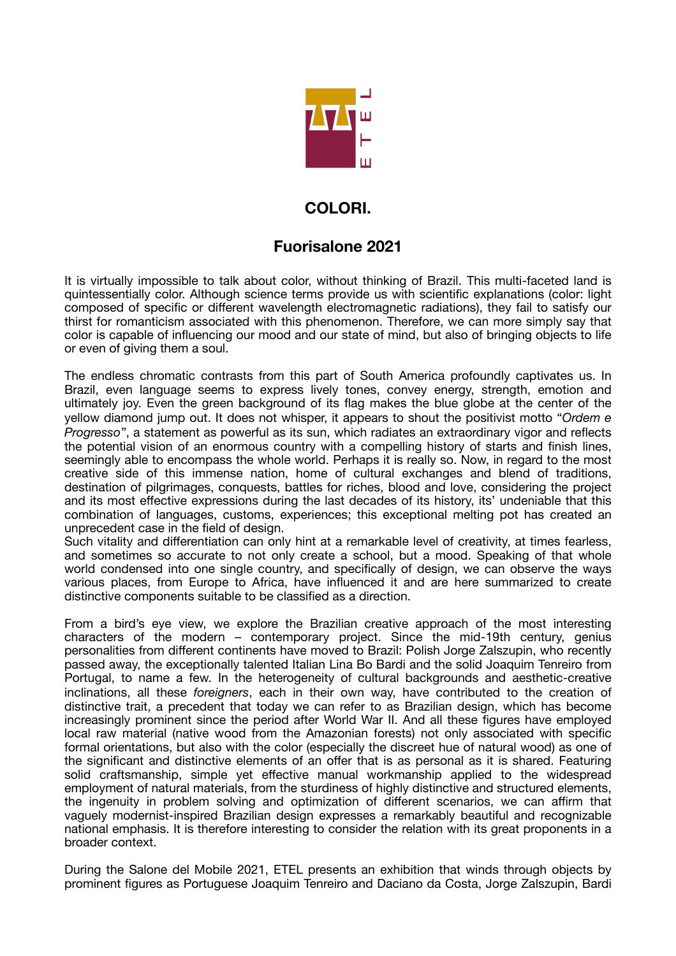

## **COLORI.**

## **Fuorisalone 2021**

It is virtually impossible to talk about color, without thinking of Brazil. This multi-faceted land is quintessentially color. Although science terms provide us with scientific explanations (color: light composed of specific or different wavelength electromagnetic radiations), they fail to satisfy our thirst for romanticism associated with this phenomenon. Therefore, we can more simply say that color is capable of influencing our mood and our state of mind, but also of bringing objects to life or even of giving them a soul.

The endless chromatic contrasts from this part of South America profoundly captivates us. In Brazil, even language seems to express lively tones, convey energy, strength, emotion and ultimately joy. Even the green background of its flag makes the blue globe at the center of the yellow diamond jump out. It does not whisper, it appears to shout the positivist motto "*Ordem e Progresso"*, a statement as powerful as its sun, which radiates an extraordinary vigor and reflects the potential vision of an enormous country with a compelling history of starts and finish lines, seemingly able to encompass the whole world. Perhaps it is really so. Now, in regard to the most creative side of this immense nation, home of cultural exchanges and blend of traditions, destination of pilgrimages, conquests, battles for riches, blood and love, considering the project and its most effective expressions during the last decades of its history, its' undeniable that this combination of languages, customs, experiences; this exceptional melting pot has created an unprecedent case in the field of design.

Such vitality and differentiation can only hint at a remarkable level of creativity, at times fearless, and sometimes so accurate to not only create a school, but a mood. Speaking of that whole world condensed into one single country, and specifically of design, we can observe the ways various places, from Europe to Africa, have influenced it and are here summarized to create distinctive components suitable to be classified as a direction.

From a bird's eye view, we explore the Brazilian creative approach of the most interesting characters of the modern – contemporary project. Since the mid-19th century, genius personalities from different continents have moved to Brazil: Polish Jorge Zalszupin, who recently passed away, the exceptionally talented Italian Lina Bo Bardi and the solid Joaquim Tenreiro from Portugal, to name a few. In the heterogeneity of cultural backgrounds and aesthetic-creative inclinations, all these *foreigners*, each in their own way, have contributed to the creation of distinctive trait, a precedent that today we can refer to as Brazilian design, which has become increasingly prominent since the period after World War II. And all these figures have employed local raw material (native wood from the Amazonian forests) not only associated with specific formal orientations, but also with the color (especially the discreet hue of natural wood) as one of the significant and distinctive elements of an offer that is as personal as it is shared. Featuring solid craftsmanship, simple yet effective manual workmanship applied to the widespread employment of natural materials, from the sturdiness of highly distinctive and structured elements, the ingenuity in problem solving and optimization of different scenarios, we can affirm that vaguely modernist-inspired Brazilian design expresses a remarkably beautiful and recognizable national emphasis. It is therefore interesting to consider the relation with its great proponents in a broader context.

During the Salone del Mobile 2021, ETEL presents an exhibition that winds through objects by prominent figures as Portuguese Joaquim Tenreiro and Daciano da Costa, Jorge Zalszupin, Bardi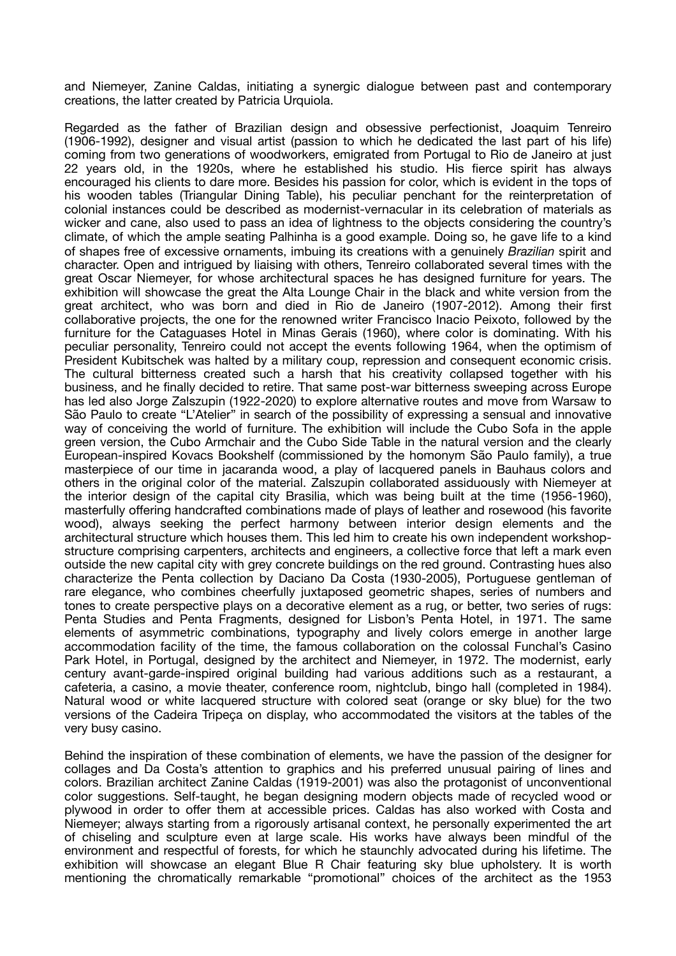and Niemeyer, Zanine Caldas, initiating a synergic dialogue between past and contemporary creations, the latter created by Patricia Urquiola.

Regarded as the father of Brazilian design and obsessive perfectionist, Joaquim Tenreiro (1906-1992), designer and visual artist (passion to which he dedicated the last part of his life) coming from two generations of woodworkers, emigrated from Portugal to Rio de Janeiro at just 22 years old, in the 1920s, where he established his studio. His fierce spirit has always encouraged his clients to dare more. Besides his passion for color, which is evident in the tops of his wooden tables (Triangular Dining Table), his peculiar penchant for the reinterpretation of colonial instances could be described as modernist-vernacular in its celebration of materials as wicker and cane, also used to pass an idea of lightness to the objects considering the country's climate, of which the ample seating Palhinha is a good example. Doing so, he gave life to a kind of shapes free of excessive ornaments, imbuing its creations with a genuinely *Brazilian* spirit and character. Open and intrigued by liaising with others, Tenreiro collaborated several times with the great Oscar Niemeyer, for whose architectural spaces he has designed furniture for years. The exhibition will showcase the great the Alta Lounge Chair in the black and white version from the great architect, who was born and died in Rio de Janeiro (1907-2012). Among their first collaborative projects, the one for the renowned writer Francisco Inacio Peixoto, followed by the furniture for the Cataguases Hotel in Minas Gerais (1960), where color is dominating. With his peculiar personality, Tenreiro could not accept the events following 1964, when the optimism of President Kubitschek was halted by a military coup, repression and consequent economic crisis. The cultural bitterness created such a harsh that his creativity collapsed together with his business, and he finally decided to retire. That same post-war bitterness sweeping across Europe has led also Jorge Zalszupin (1922-2020) to explore alternative routes and move from Warsaw to São Paulo to create "L'Atelier" in search of the possibility of expressing a sensual and innovative way of conceiving the world of furniture. The exhibition will include the Cubo Sofa in the apple green version, the Cubo Armchair and the Cubo Side Table in the natural version and the clearly European-inspired Kovacs Bookshelf (commissioned by the homonym São Paulo family), a true masterpiece of our time in jacaranda wood, a play of lacquered panels in Bauhaus colors and others in the original color of the material. Zalszupin collaborated assiduously with Niemeyer at the interior design of the capital city Brasilia, which was being built at the time (1956-1960), masterfully offering handcrafted combinations made of plays of leather and rosewood (his favorite wood), always seeking the perfect harmony between interior design elements and the architectural structure which houses them. This led him to create his own independent workshopstructure comprising carpenters, architects and engineers, a collective force that left a mark even outside the new capital city with grey concrete buildings on the red ground. Contrasting hues also characterize the Penta collection by Daciano Da Costa (1930-2005), Portuguese gentleman of rare elegance, who combines cheerfully juxtaposed geometric shapes, series of numbers and tones to create perspective plays on a decorative element as a rug, or better, two series of rugs: Penta Studies and Penta Fragments, designed for Lisbon's Penta Hotel, in 1971. The same elements of asymmetric combinations, typography and lively colors emerge in another large accommodation facility of the time, the famous collaboration on the colossal Funchal's Casino Park Hotel, in Portugal, designed by the architect and Niemeyer, in 1972. The modernist, early century avant-garde-inspired original building had various additions such as a restaurant, a cafeteria, a casino, a movie theater, conference room, nightclub, bingo hall (completed in 1984). Natural wood or white lacquered structure with colored seat (orange or sky blue) for the two versions of the Cadeira Tripeça on display, who accommodated the visitors at the tables of the very busy casino.

Behind the inspiration of these combination of elements, we have the passion of the designer for collages and Da Costa's attention to graphics and his preferred unusual pairing of lines and colors. Brazilian architect Zanine Caldas (1919-2001) was also the protagonist of unconventional color suggestions. Self-taught, he began designing modern objects made of recycled wood or plywood in order to offer them at accessible prices. Caldas has also worked with Costa and Niemeyer; always starting from a rigorously artisanal context, he personally experimented the art of chiseling and sculpture even at large scale. His works have always been mindful of the environment and respectful of forests, for which he staunchly advocated during his lifetime. The exhibition will showcase an elegant Blue R Chair featuring sky blue upholstery. It is worth mentioning the chromatically remarkable "promotional" choices of the architect as the 1953